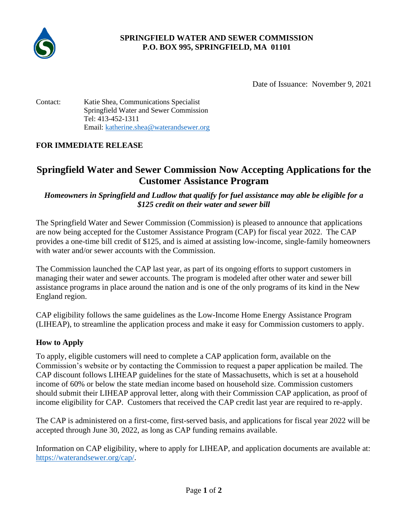

# **SPRINGFIELD WATER AND SEWER COMMISSION P.O. BOX 995, SPRINGFIELD, MA 01101**

Date of Issuance: November 9, 2021

Contact: Katie Shea, Communications Specialist Springfield Water and Sewer Commission Tel: 413-452-1311 Email: [katherine.shea@waterandsewer.org](mailto:katherine.shea@waterandsewer.org)

# **FOR IMMEDIATE RELEASE**

# **Springfield Water and Sewer Commission Now Accepting Applications for the Customer Assistance Program**

## *Homeowners in Springfield and Ludlow that qualify for fuel assistance may able be eligible for a \$125 credit on their water and sewer bill*

The Springfield Water and Sewer Commission (Commission) is pleased to announce that applications are now being accepted for the Customer Assistance Program (CAP) for fiscal year 2022. The CAP provides a one-time bill credit of \$125, and is aimed at assisting low-income, single-family homeowners with water and/or sewer accounts with the Commission.

The Commission launched the CAP last year, as part of its ongoing efforts to support customers in managing their water and sewer accounts. The program is modeled after other water and sewer bill assistance programs in place around the nation and is one of the only programs of its kind in the New England region.

CAP eligibility follows the same guidelines as the Low-Income Home Energy Assistance Program (LIHEAP), to streamline the application process and make it easy for Commission customers to apply.

#### **How to Apply**

To apply, eligible customers will need to complete a CAP application form, available on the Commission's website or by contacting the Commission to request a paper application be mailed. The CAP discount follows LIHEAP guidelines for the state of Massachusetts, which is set at a household income of 60% or below the state median income based on household size. Commission customers should submit their LIHEAP approval letter, along with their Commission CAP application, as proof of income eligibility for CAP. Customers that received the CAP credit last year are required to re-apply.

The CAP is administered on a first-come, first-served basis, and applications for fiscal year 2022 will be accepted through June 30, 2022, as long as CAP funding remains available.

Information on CAP eligibility, where to apply for LIHEAP, and application documents are available at: [https://waterandsewer.org/cap/.](https://waterandsewer.org/cap/)